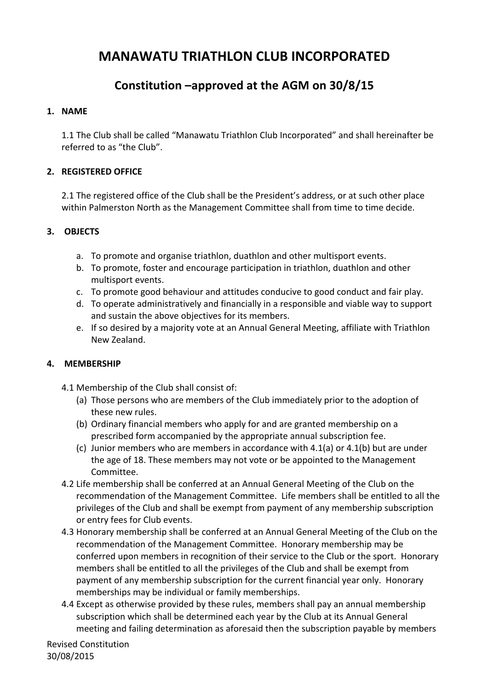# **MANAWATU TRIATHLON CLUB INCORPORATED**

# **Constitution –approved at the AGM on 30/8/15**

#### **1. NAME**

1.1 The Club shall be called "Manawatu Triathlon Club Incorporated" and shall hereinafter be referred to as "the Club".

## **2. REGISTERED OFFICE**

2.1 The registered office of the Club shall be the President's address, or at such other place within Palmerston North as the Management Committee shall from time to time decide.

## **3. OBJECTS**

- a. To promote and organise triathlon, duathlon and other multisport events.
- b. To promote, foster and encourage participation in triathlon, duathlon and other multisport events.
- c. To promote good behaviour and attitudes conducive to good conduct and fair play.
- d. To operate administratively and financially in a responsible and viable way to support and sustain the above objectives for its members.
- e. If so desired by a majority vote at an Annual General Meeting, affiliate with Triathlon New Zealand.

#### **4. MEMBERSHIP**

- 4.1 Membership of the Club shall consist of:
	- (a) Those persons who are members of the Club immediately prior to the adoption of these new rules.
	- (b) Ordinary financial members who apply for and are granted membership on a prescribed form accompanied by the appropriate annual subscription fee.
	- (c) Junior members who are members in accordance with  $4.1(a)$  or  $4.1(b)$  but are under the age of 18. These members may not vote or be appointed to the Management Committee.
- 4.2 Life membership shall be conferred at an Annual General Meeting of the Club on the recommendation of the Management Committee. Life members shall be entitled to all the privileges of the Club and shall be exempt from payment of any membership subscription or entry fees for Club events.
- 4.3 Honorary membership shall be conferred at an Annual General Meeting of the Club on the recommendation of the Management Committee. Honorary membership may be conferred upon members in recognition of their service to the Club or the sport. Honorary members shall be entitled to all the privileges of the Club and shall be exempt from payment of any membership subscription for the current financial year only. Honorary memberships may be individual or family memberships.
- 4.4 Except as otherwise provided by these rules, members shall pay an annual membership subscription which shall be determined each year by the Club at its Annual General meeting and failing determination as aforesaid then the subscription payable by members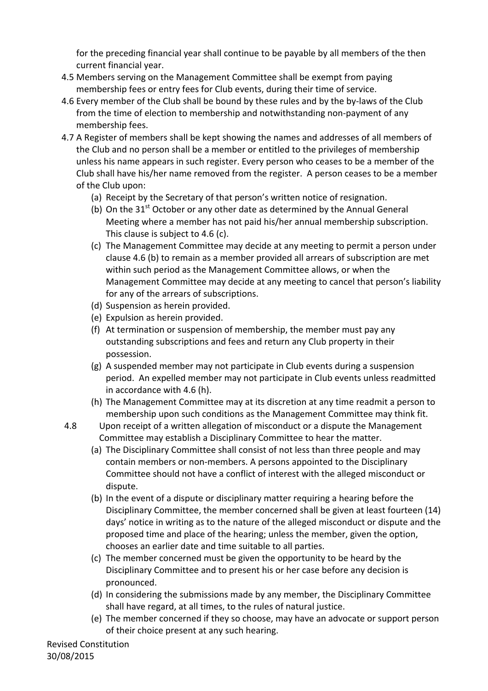for the preceding financial year shall continue to be payable by all members of the then current financial year.

- 4.5 Members serving on the Management Committee shall be exempt from paying membership fees or entry fees for Club events, during their time of service.
- 4.6 Every member of the Club shall be bound by these rules and by the by-laws of the Club from the time of election to membership and notwithstanding non-payment of any membership fees.
- 4.7 A Register of members shall be kept showing the names and addresses of all members of the Club and no person shall be a member or entitled to the privileges of membership unless his name appears in such register. Every person who ceases to be a member of the Club shall have his/her name removed from the register. A person ceases to be a member of the Club upon:
	- (a) Receipt by the Secretary of that person's written notice of resignation.
	- (b) On the  $31<sup>st</sup>$  October or any other date as determined by the Annual General Meeting where a member has not paid his/her annual membership subscription. This clause is subject to 4.6 (c).
	- (c) The Management Committee may decide at any meeting to permit a person under clause 4.6 (b) to remain as a member provided all arrears of subscription are met within such period as the Management Committee allows, or when the Management Committee may decide at any meeting to cancel that person's liability for any of the arrears of subscriptions.
	- (d) Suspension as herein provided.
	- (e) Expulsion as herein provided.
	- (f) At termination or suspension of membership, the member must pay any outstanding subscriptions and fees and return any Club property in their possession.
	- (g) A suspended member may not participate in Club events during a suspension period. An expelled member may not participate in Club events unless readmitted in accordance with 4.6 (h).
	- (h) The Management Committee may at its discretion at any time readmit a person to membership upon such conditions as the Management Committee may think fit.
- 4.8 Upon receipt of a written allegation of misconduct or a dispute the Management Committee may establish a Disciplinary Committee to hear the matter.
	- (a) The Disciplinary Committee shall consist of not less than three people and may contain members or non-members. A persons appointed to the Disciplinary Committee should not have a conflict of interest with the alleged misconduct or dispute.
	- (b) In the event of a dispute or disciplinary matter requiring a hearing before the Disciplinary Committee, the member concerned shall be given at least fourteen (14) days' notice in writing as to the nature of the alleged misconduct or dispute and the proposed time and place of the hearing; unless the member, given the option, chooses an earlier date and time suitable to all parties.
	- (c) The member concerned must be given the opportunity to be heard by the Disciplinary Committee and to present his or her case before any decision is pronounced.
	- (d) In considering the submissions made by any member, the Disciplinary Committee shall have regard, at all times, to the rules of natural justice.
	- (e) The member concerned if they so choose, may have an advocate or support person of their choice present at any such hearing.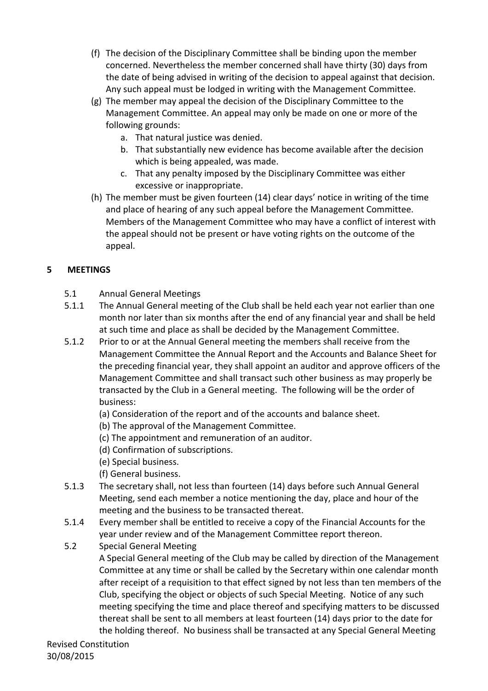- (f) The decision of the Disciplinary Committee shall be binding upon the member concerned. Nevertheless the member concerned shall have thirty (30) days from the date of being advised in writing of the decision to appeal against that decision. Any such appeal must be lodged in writing with the Management Committee.
- (g) The member may appeal the decision of the Disciplinary Committee to the Management Committee. An appeal may only be made on one or more of the following grounds:
	- a. That natural justice was denied.
	- b. That substantially new evidence has become available after the decision which is being appealed, was made.
	- c. That any penalty imposed by the Disciplinary Committee was either excessive or inappropriate.
- (h) The member must be given fourteen  $(14)$  clear days' notice in writing of the time and place of hearing of any such appeal before the Management Committee. Members of the Management Committee who may have a conflict of interest with the appeal should not be present or have voting rights on the outcome of the appeal.

# **5 MEETINGS**

- 5.1 Annual General Meetings
- 5.1.1 The Annual General meeting of the Club shall be held each year not earlier than one month nor later than six months after the end of any financial year and shall be held at such time and place as shall be decided by the Management Committee.
- 5.1.2 Prior to or at the Annual General meeting the members shall receive from the Management Committee the Annual Report and the Accounts and Balance Sheet for the preceding financial year, they shall appoint an auditor and approve officers of the Management Committee and shall transact such other business as may properly be transacted by the Club in a General meeting. The following will be the order of business:
	- (a) Consideration of the report and of the accounts and balance sheet.
	- (b) The approval of the Management Committee.
	- (c) The appointment and remuneration of an auditor.
	- (d) Confirmation of subscriptions.
	- (e) Special business.
	- (f) General business.
- 5.1.3 The secretary shall, not less than fourteen (14) days before such Annual General Meeting, send each member a notice mentioning the day, place and hour of the meeting and the business to be transacted thereat.
- 5.1.4 Every member shall be entitled to receive a copy of the Financial Accounts for the year under review and of the Management Committee report thereon.
- 5.2 Special General Meeting

A Special General meeting of the Club may be called by direction of the Management Committee at any time or shall be called by the Secretary within one calendar month after receipt of a requisition to that effect signed by not less than ten members of the Club, specifying the object or objects of such Special Meeting. Notice of any such meeting specifying the time and place thereof and specifying matters to be discussed thereat shall be sent to all members at least fourteen (14) days prior to the date for the holding thereof. No business shall be transacted at any Special General Meeting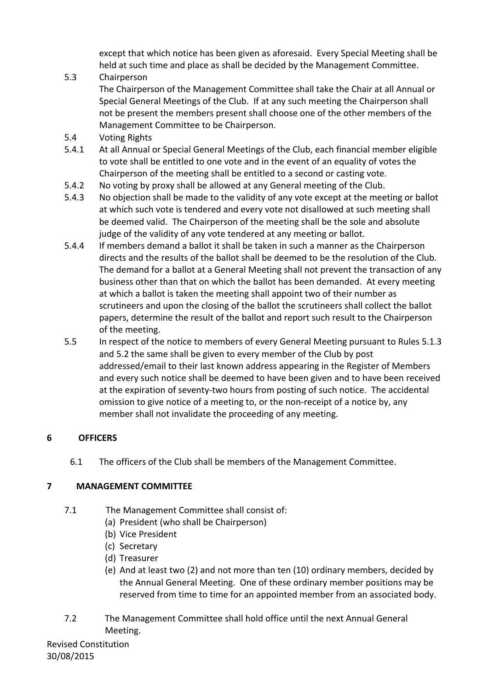except that which notice has been given as aforesaid. Every Special Meeting shall be held at such time and place as shall be decided by the Management Committee.

5.3 Chairperson

The Chairperson of the Management Committee shall take the Chair at all Annual or Special General Meetings of the Club. If at any such meeting the Chairperson shall not be present the members present shall choose one of the other members of the Management Committee to be Chairperson.

- 5.4 Voting Rights
- 5.4.1 At all Annual or Special General Meetings of the Club, each financial member eligible to vote shall be entitled to one vote and in the event of an equality of votes the Chairperson of the meeting shall be entitled to a second or casting vote.
- 5.4.2 No voting by proxy shall be allowed at any General meeting of the Club.
- 5.4.3 No objection shall be made to the validity of any vote except at the meeting or ballot at which such vote is tendered and every vote not disallowed at such meeting shall be deemed valid. The Chairperson of the meeting shall be the sole and absolute judge of the validity of any vote tendered at any meeting or ballot.
- 5.4.4 If members demand a ballot it shall be taken in such a manner as the Chairperson directs and the results of the ballot shall be deemed to be the resolution of the Club. The demand for a ballot at a General Meeting shall not prevent the transaction of any business other than that on which the ballot has been demanded. At every meeting at which a ballot is taken the meeting shall appoint two of their number as scrutineers and upon the closing of the ballot the scrutineers shall collect the ballot papers, determine the result of the ballot and report such result to the Chairperson of the meeting.
- 5.5 In respect of the notice to members of every General Meeting pursuant to Rules 5.1.3 and 5.2 the same shall be given to every member of the Club by post addressed/email to their last known address appearing in the Register of Members and every such notice shall be deemed to have been given and to have been received at the expiration of seventy-two hours from posting of such notice. The accidental omission to give notice of a meeting to, or the non-receipt of a notice by, any member shall not invalidate the proceeding of any meeting.

# **6 OFFICERS**

6.1 The officers of the Club shall be members of the Management Committee.

# **7 MANAGEMENT COMMITTEE**

- 7.1 The Management Committee shall consist of:
	- (a) President (who shall be Chairperson)
	- (b) Vice President
	- (c) Secretary
	- (d) Treasurer
	- (e) And at least two (2) and not more than ten (10) ordinary members, decided by the Annual General Meeting. One of these ordinary member positions may be reserved from time to time for an appointed member from an associated body.
- 7.2 The Management Committee shall hold office until the next Annual General Meeting.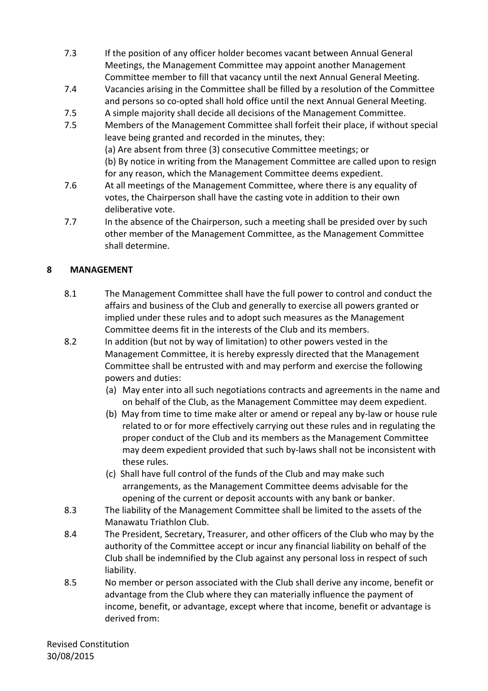- 7.3 If the position of any officer holder becomes vacant between Annual General Meetings, the Management Committee may appoint another Management Committee member to fill that vacancy until the next Annual General Meeting.
- 7.4 Vacancies arising in the Committee shall be filled by a resolution of the Committee and persons so co-opted shall hold office until the next Annual General Meeting.
- 7.5 A simple majority shall decide all decisions of the Management Committee.
- 7.5 Members of the Management Committee shall forfeit their place, if without special leave being granted and recorded in the minutes, they: (a) Are absent from three (3) consecutive Committee meetings; or (b) By notice in writing from the Management Committee are called upon to resign for any reason, which the Management Committee deems expedient.
- 7.6 At all meetings of the Management Committee, where there is any equality of votes, the Chairperson shall have the casting vote in addition to their own deliberative vote.
- 7.7 In the absence of the Chairperson, such a meeting shall be presided over by such other member of the Management Committee, as the Management Committee shall determine.

# **8 MANAGEMENT**

- 8.1 The Management Committee shall have the full power to control and conduct the affairs and business of the Club and generally to exercise all powers granted or implied under these rules and to adopt such measures as the Management Committee deems fit in the interests of the Club and its members.
- 8.2 In addition (but not by way of limitation) to other powers vested in the Management Committee, it is hereby expressly directed that the Management Committee shall be entrusted with and may perform and exercise the following powers and duties:
	- (a) May enter into all such negotiations contracts and agreements in the name and on behalf of the Club, as the Management Committee may deem expedient.
	- (b) May from time to time make alter or amend or repeal any by-law or house rule related to or for more effectively carrying out these rules and in regulating the proper conduct of the Club and its members as the Management Committee may deem expedient provided that such by-laws shall not be inconsistent with these rules.
	- (c) Shall have full control of the funds of the Club and may make such arrangements, as the Management Committee deems advisable for the opening of the current or deposit accounts with any bank or banker.
- 8.3 The liability of the Management Committee shall be limited to the assets of the Manawatu Triathlon Club.
- 8.4 The President, Secretary, Treasurer, and other officers of the Club who may by the authority of the Committee accept or incur any financial liability on behalf of the Club shall be indemnified by the Club against any personal loss in respect of such liability.
- 8.5 No member or person associated with the Club shall derive any income, benefit or advantage from the Club where they can materially influence the payment of income, benefit, or advantage, except where that income, benefit or advantage is derived from: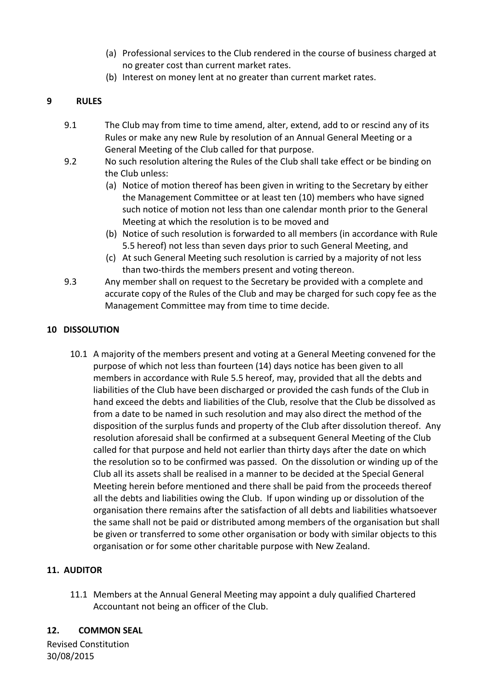- (a) Professional services to the Club rendered in the course of business charged at no greater cost than current market rates.
- (b) Interest on money lent at no greater than current market rates.

## **9 RULES**

- 9.1 The Club may from time to time amend, alter, extend, add to or rescind any of its Rules or make any new Rule by resolution of an Annual General Meeting or a General Meeting of the Club called for that purpose.
- 9.2 No such resolution altering the Rules of the Club shall take effect or be binding on the Club unless:
	- (a) Notice of motion thereof has been given in writing to the Secretary by either the Management Committee or at least ten (10) members who have signed such notice of motion not less than one calendar month prior to the General Meeting at which the resolution is to be moved and
	- (b) Notice of such resolution is forwarded to all members (in accordance with Rule 5.5 hereof) not less than seven days prior to such General Meeting, and
	- (c) At such General Meeting such resolution is carried by a majority of not less than two-thirds the members present and voting thereon.
- 9.3 Any member shall on request to the Secretary be provided with a complete and accurate copy of the Rules of the Club and may be charged for such copy fee as the Management Committee may from time to time decide.

## **10 DISSOLUTION**

10.1 A majority of the members present and voting at a General Meeting convened for the purpose of which not less than fourteen (14) days notice has been given to all members in accordance with Rule 5.5 hereof, may, provided that all the debts and liabilities of the Club have been discharged or provided the cash funds of the Club in hand exceed the debts and liabilities of the Club, resolve that the Club be dissolved as from a date to be named in such resolution and may also direct the method of the disposition of the surplus funds and property of the Club after dissolution thereof. Any resolution aforesaid shall be confirmed at a subsequent General Meeting of the Club called for that purpose and held not earlier than thirty days after the date on which the resolution so to be confirmed was passed. On the dissolution or winding up of the Club all its assets shall be realised in a manner to be decided at the Special General Meeting herein before mentioned and there shall be paid from the proceeds thereof all the debts and liabilities owing the Club. If upon winding up or dissolution of the organisation there remains after the satisfaction of all debts and liabilities whatsoever the same shall not be paid or distributed among members of the organisation but shall be given or transferred to some other organisation or body with similar objects to this organisation or for some other charitable purpose with New Zealand.

#### **11. AUDITOR**

11.1 Members at the Annual General Meeting may appoint a duly qualified Chartered Accountant not being an officer of the Club.

#### **12. COMMON SEAL**